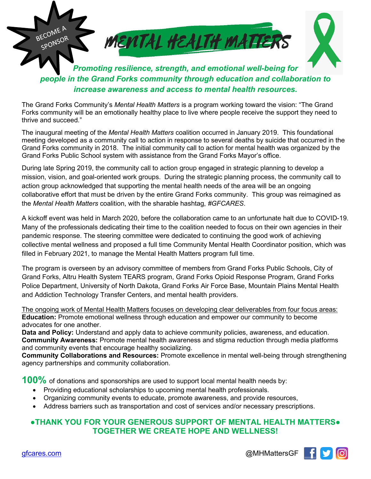

*people in the Grand Forks community through education and collaboration to increase awareness and access to mental health resources.*

The Grand Forks Community's *Mental Health Matters* is a program working toward the vision: "The Grand Forks community will be an emotionally healthy place to live where people receive the support they need to thrive and succeed."

The inaugural meeting of the *Mental Health Matters* coalition occurred in January 2019. This foundational meeting developed as a community call to action in response to several deaths by suicide that occurred in the Grand Forks community in 2018. The initial community call to action for mental health was organized by the Grand Forks Public School system with assistance from the Grand Forks Mayor's office.

During late Spring 2019, the community call to action group engaged in strategic planning to develop a mission, vision, and goal-oriented work groups. During the strategic planning process, the community call to action group acknowledged that supporting the mental health needs of the area will be an ongoing collaborative effort that must be driven by the entire Grand Forks community. This group was reimagined as the *Mental Health Matters* coalition, with the sharable hashtag, *#GFCARES*.

A kickoff event was held in March 2020, before the collaboration came to an unfortunate halt due to COVID-19. Many of the professionals dedicating their time to the coalition needed to focus on their own agencies in their pandemic response. The steering committee were dedicated to continuing the good work of achieving collective mental wellness and proposed a full time Community Mental Health Coordinator position, which was filled in February 2021, to manage the Mental Health Matters program full time.

The program is overseen by an advisory committee of members from Grand Forks Public Schools, City of Grand Forks, Altru Health System TEARS program, Grand Forks Opioid Response Program, Grand Forks Police Department, University of North Dakota, Grand Forks Air Force Base, Mountain Plains Mental Health and Addiction Technology Transfer Centers, and mental health providers.

The ongoing work of Mental Health Matters focuses on developing clear deliverables from four focus areas: **Education:** Promote emotional wellness through education and empower our community to become advocates for one another.

**Data and Policy:** Understand and apply data to achieve community policies, awareness, and education. **Community Awareness:** Promote mental health awareness and stigma reduction through media platforms and community events that encourage healthy socializing.

**Community Collaborations and Resources:** Promote excellence in mental well-being through strengthening agency partnerships and community collaboration.

**100%** of donations and sponsorships are used to support local mental health needs by:

- Providing educational scholarships to upcoming mental health professionals.
- Organizing community events to educate, promote awareness, and provide resources,
- Address barriers such as transportation and cost of services and/or necessary prescriptions.

## **●THANK YOU FOR YOUR GENEROUS SUPPORT OF MENTAL HEALTH MATTERS● TOGETHER WE CREATE HOPE AND WELLNESS!**